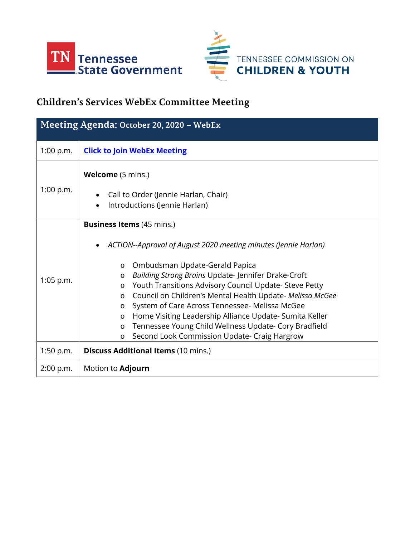



## **Children's Services WebEx Committee Meeting**

| Meeting Agenda: October 20, 2020 - WebEx |                                                                                                                                                                                                                                                                                                                                                                                                                                                                                                                                                                                                                                 |
|------------------------------------------|---------------------------------------------------------------------------------------------------------------------------------------------------------------------------------------------------------------------------------------------------------------------------------------------------------------------------------------------------------------------------------------------------------------------------------------------------------------------------------------------------------------------------------------------------------------------------------------------------------------------------------|
| 1:00 p.m.                                | <b>Click to Join WebEx Meeting</b>                                                                                                                                                                                                                                                                                                                                                                                                                                                                                                                                                                                              |
| 1:00 p.m.                                | <b>Welcome</b> (5 mins.)<br>Call to Order (Jennie Harlan, Chair)<br>$\bullet$<br>Introductions (Jennie Harlan)                                                                                                                                                                                                                                                                                                                                                                                                                                                                                                                  |
| $1:05$ p.m.                              | <b>Business Items</b> (45 mins.)<br>ACTION--Approval of August 2020 meeting minutes (Jennie Harlan)<br>Ombudsman Update-Gerald Papica<br>$\circ$<br>Building Strong Brains Update-Jennifer Drake-Croft<br>$\circ$<br>Youth Transitions Advisory Council Update- Steve Petty<br>$\circ$<br>Council on Children's Mental Health Update- Melissa McGee<br>$\circ$<br>System of Care Across Tennessee- Melissa McGee<br>$\circ$<br>Home Visiting Leadership Alliance Update-Sumita Keller<br>$\circ$<br>Tennessee Young Child Wellness Update- Cory Bradfield<br>$\circ$<br>Second Look Commission Update- Craig Hargrow<br>$\circ$ |
| 1:50 p.m.                                | <b>Discuss Additional Items (10 mins.)</b>                                                                                                                                                                                                                                                                                                                                                                                                                                                                                                                                                                                      |
| 2:00 p.m.                                | Motion to <b>Adjourn</b>                                                                                                                                                                                                                                                                                                                                                                                                                                                                                                                                                                                                        |